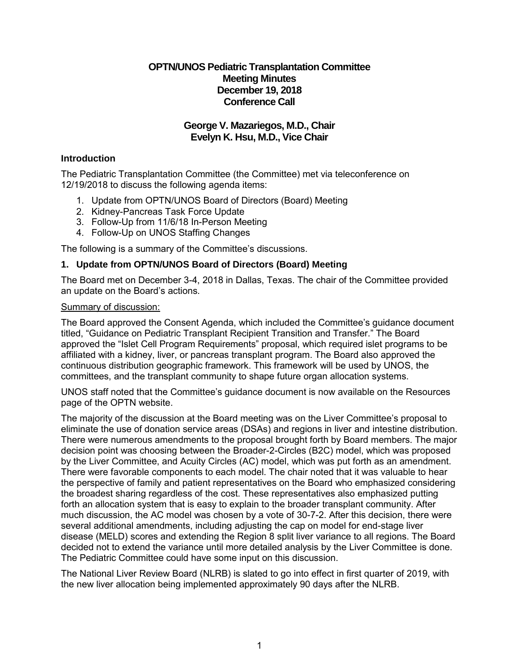## **OPTN/UNOS Pediatric Transplantation Committee Meeting Minutes December 19, 2018 Conference Call**

## **George V. Mazariegos, M.D., Chair Evelyn K. Hsu, M.D., Vice Chair**

## **Introduction**

The Pediatric Transplantation Committee (the Committee) met via teleconference on 12/19/2018 to discuss the following agenda items:

- 1. Update from OPTN/UNOS Board of Directors (Board) Meeting
- 2. Kidney-Pancreas Task Force Update
- 3. Follow-Up from 11/6/18 In-Person Meeting
- 4. Follow-Up on UNOS Staffing Changes

The following is a summary of the Committee's discussions.

## **1. Update from OPTN/UNOS Board of Directors (Board) Meeting**

The Board met on December 3-4, 2018 in Dallas, Texas. The chair of the Committee provided an update on the Board's actions.

### Summary of discussion:

The Board approved the Consent Agenda, which included the Committee's guidance document titled, "Guidance on Pediatric Transplant Recipient Transition and Transfer." The Board approved the "Islet Cell Program Requirements" proposal, which required islet programs to be affiliated with a kidney, liver, or pancreas transplant program. The Board also approved the continuous distribution geographic framework. This framework will be used by UNOS, the committees, and the transplant community to shape future organ allocation systems.

UNOS staff noted that the Committee's guidance document is now available on the Resources page of the OPTN website.

The majority of the discussion at the Board meeting was on the Liver Committee's proposal to eliminate the use of donation service areas (DSAs) and regions in liver and intestine distribution. There were numerous amendments to the proposal brought forth by Board members. The major decision point was choosing between the Broader-2-Circles (B2C) model, which was proposed by the Liver Committee, and Acuity Circles (AC) model, which was put forth as an amendment. There were favorable components to each model. The chair noted that it was valuable to hear the perspective of family and patient representatives on the Board who emphasized considering the broadest sharing regardless of the cost. These representatives also emphasized putting forth an allocation system that is easy to explain to the broader transplant community. After much discussion, the AC model was chosen by a vote of 30-7-2. After this decision, there were several additional amendments, including adjusting the cap on model for end-stage liver disease (MELD) scores and extending the Region 8 split liver variance to all regions. The Board decided not to extend the variance until more detailed analysis by the Liver Committee is done. The Pediatric Committee could have some input on this discussion.

The National Liver Review Board (NLRB) is slated to go into effect in first quarter of 2019, with the new liver allocation being implemented approximately 90 days after the NLRB.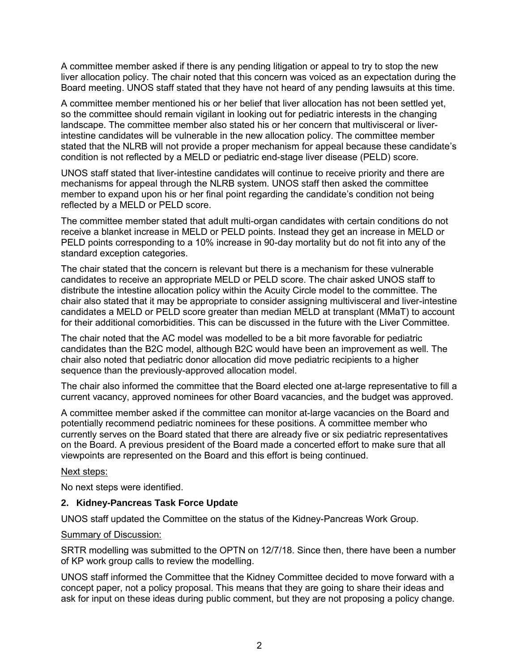A committee member asked if there is any pending litigation or appeal to try to stop the new liver allocation policy. The chair noted that this concern was voiced as an expectation during the Board meeting. UNOS staff stated that they have not heard of any pending lawsuits at this time.

A committee member mentioned his or her belief that liver allocation has not been settled yet, so the committee should remain vigilant in looking out for pediatric interests in the changing landscape. The committee member also stated his or her concern that multivisceral or liverintestine candidates will be vulnerable in the new allocation policy. The committee member stated that the NLRB will not provide a proper mechanism for appeal because these candidate's condition is not reflected by a MELD or pediatric end-stage liver disease (PELD) score.

UNOS staff stated that liver-intestine candidates will continue to receive priority and there are mechanisms for appeal through the NLRB system. UNOS staff then asked the committee member to expand upon his or her final point regarding the candidate's condition not being reflected by a MELD or PELD score.

The committee member stated that adult multi-organ candidates with certain conditions do not receive a blanket increase in MELD or PELD points. Instead they get an increase in MELD or PELD points corresponding to a 10% increase in 90-day mortality but do not fit into any of the standard exception categories.

The chair stated that the concern is relevant but there is a mechanism for these vulnerable candidates to receive an appropriate MELD or PELD score. The chair asked UNOS staff to distribute the intestine allocation policy within the Acuity Circle model to the committee. The chair also stated that it may be appropriate to consider assigning multivisceral and liver-intestine candidates a MELD or PELD score greater than median MELD at transplant (MMaT) to account for their additional comorbidities. This can be discussed in the future with the Liver Committee.

The chair noted that the AC model was modelled to be a bit more favorable for pediatric candidates than the B2C model, although B2C would have been an improvement as well. The chair also noted that pediatric donor allocation did move pediatric recipients to a higher sequence than the previously-approved allocation model.

The chair also informed the committee that the Board elected one at-large representative to fill a current vacancy, approved nominees for other Board vacancies, and the budget was approved.

A committee member asked if the committee can monitor at-large vacancies on the Board and potentially recommend pediatric nominees for these positions. A committee member who currently serves on the Board stated that there are already five or six pediatric representatives on the Board. A previous president of the Board made a concerted effort to make sure that all viewpoints are represented on the Board and this effort is being continued.

#### Next steps:

No next steps were identified.

## **2. Kidney-Pancreas Task Force Update**

UNOS staff updated the Committee on the status of the Kidney-Pancreas Work Group.

#### **Summary of Discussion:**

SRTR modelling was submitted to the OPTN on 12/7/18. Since then, there have been a number of KP work group calls to review the modelling.

UNOS staff informed the Committee that the Kidney Committee decided to move forward with a concept paper, not a policy proposal. This means that they are going to share their ideas and ask for input on these ideas during public comment, but they are not proposing a policy change.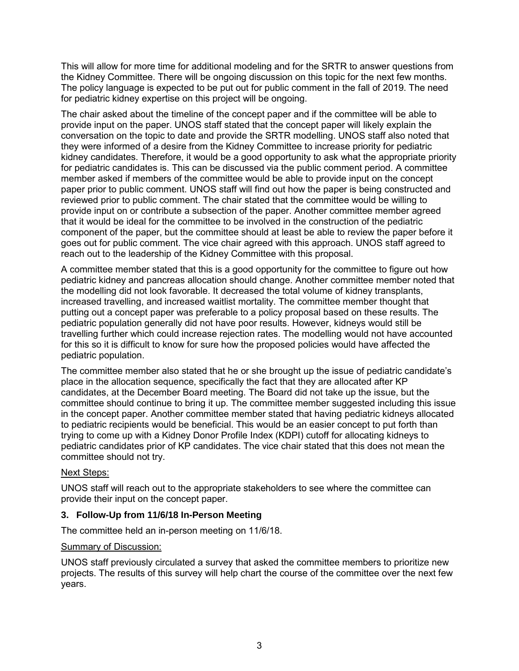This will allow for more time for additional modeling and for the SRTR to answer questions from the Kidney Committee. There will be ongoing discussion on this topic for the next few months. The policy language is expected to be put out for public comment in the fall of 2019. The need for pediatric kidney expertise on this project will be ongoing.

The chair asked about the timeline of the concept paper and if the committee will be able to provide input on the paper. UNOS staff stated that the concept paper will likely explain the conversation on the topic to date and provide the SRTR modelling. UNOS staff also noted that they were informed of a desire from the Kidney Committee to increase priority for pediatric kidney candidates. Therefore, it would be a good opportunity to ask what the appropriate priority for pediatric candidates is. This can be discussed via the public comment period. A committee member asked if members of the committee would be able to provide input on the concept paper prior to public comment. UNOS staff will find out how the paper is being constructed and reviewed prior to public comment. The chair stated that the committee would be willing to provide input on or contribute a subsection of the paper. Another committee member agreed that it would be ideal for the committee to be involved in the construction of the pediatric component of the paper, but the committee should at least be able to review the paper before it goes out for public comment. The vice chair agreed with this approach. UNOS staff agreed to reach out to the leadership of the Kidney Committee with this proposal.

A committee member stated that this is a good opportunity for the committee to figure out how pediatric kidney and pancreas allocation should change. Another committee member noted that the modelling did not look favorable. It decreased the total volume of kidney transplants, increased travelling, and increased waitlist mortality. The committee member thought that putting out a concept paper was preferable to a policy proposal based on these results. The pediatric population generally did not have poor results. However, kidneys would still be travelling further which could increase rejection rates. The modelling would not have accounted for this so it is difficult to know for sure how the proposed policies would have affected the pediatric population.

The committee member also stated that he or she brought up the issue of pediatric candidate's place in the allocation sequence, specifically the fact that they are allocated after KP candidates, at the December Board meeting. The Board did not take up the issue, but the committee should continue to bring it up. The committee member suggested including this issue in the concept paper. Another committee member stated that having pediatric kidneys allocated to pediatric recipients would be beneficial. This would be an easier concept to put forth than trying to come up with a Kidney Donor Profile Index (KDPI) cutoff for allocating kidneys to pediatric candidates prior of KP candidates. The vice chair stated that this does not mean the committee should not try.

## Next Steps:

UNOS staff will reach out to the appropriate stakeholders to see where the committee can provide their input on the concept paper.

#### **3. Follow-Up from 11/6/18 In-Person Meeting**

The committee held an in-person meeting on 11/6/18.

#### Summary of Discussion:

UNOS staff previously circulated a survey that asked the committee members to prioritize new projects. The results of this survey will help chart the course of the committee over the next few years.